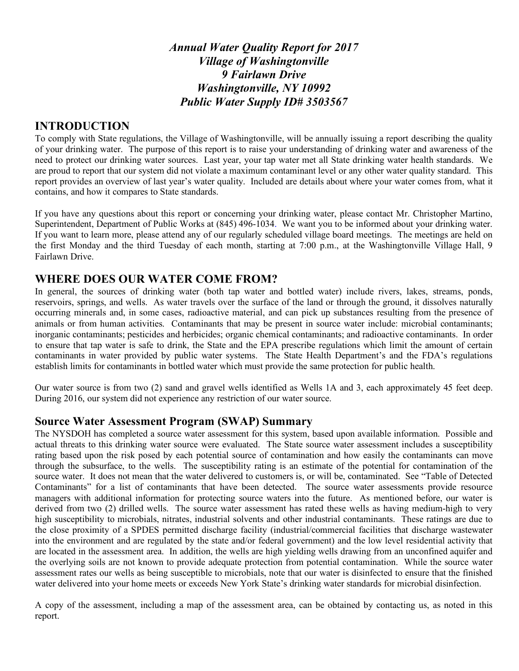*Annual Water Quality Report for 2017 Village of Washingtonville 9 Fairlawn Drive Washingtonville, NY 10992 Public Water Supply ID# 3503567*

### **INTRODUCTION**

To comply with State regulations, the Village of Washingtonville, will be annually issuing a report describing the quality of your drinking water. The purpose of this report is to raise your understanding of drinking water and awareness of the need to protect our drinking water sources. Last year, your tap water met all State drinking water health standards. We are proud to report that our system did not violate a maximum contaminant level or any other water quality standard. This report provides an overview of last year's water quality. Included are details about where your water comes from, what it contains, and how it compares to State standards.

If you have any questions about this report or concerning your drinking water, please contact Mr. Christopher Martino, Superintendent, Department of Public Works at (845) 496-1034. We want you to be informed about your drinking water. If you want to learn more, please attend any of our regularly scheduled village board meetings. The meetings are held on the first Monday and the third Tuesday of each month, starting at 7:00 p.m., at the Washingtonville Village Hall, 9 Fairlawn Drive.

### **WHERE DOES OUR WATER COME FROM?**

In general, the sources of drinking water (both tap water and bottled water) include rivers, lakes, streams, ponds, reservoirs, springs, and wells. As water travels over the surface of the land or through the ground, it dissolves naturally occurring minerals and, in some cases, radioactive material, and can pick up substances resulting from the presence of animals or from human activities. Contaminants that may be present in source water include: microbial contaminants; inorganic contaminants; pesticides and herbicides; organic chemical contaminants; and radioactive contaminants. In order to ensure that tap water is safe to drink, the State and the EPA prescribe regulations which limit the amount of certain contaminants in water provided by public water systems. The State Health Department's and the FDA's regulations establish limits for contaminants in bottled water which must provide the same protection for public health.

Our water source is from two (2) sand and gravel wells identified as Wells 1A and 3, each approximately 45 feet deep. During 2016, our system did not experience any restriction of our water source.

### **Source Water Assessment Program (SWAP) Summary**

The NYSDOH has completed a source water assessment for this system, based upon available information. Possible and actual threats to this drinking water source were evaluated. The State source water assessment includes a susceptibility rating based upon the risk posed by each potential source of contamination and how easily the contaminants can move through the subsurface, to the wells. The susceptibility rating is an estimate of the potential for contamination of the source water. It does not mean that the water delivered to customers is, or will be, contaminated. See "Table of Detected Contaminants" for a list of contaminants that have been detected. The source water assessments provide resource managers with additional information for protecting source waters into the future. As mentioned before, our water is derived from two (2) drilled wells. The source water assessment has rated these wells as having medium-high to very high susceptibility to microbials, nitrates, industrial solvents and other industrial contaminants. These ratings are due to the close proximity of a SPDES permitted discharge facility (industrial/commercial facilities that discharge wastewater into the environment and are regulated by the state and/or federal government) and the low level residential activity that are located in the assessment area. In addition, the wells are high yielding wells drawing from an unconfined aquifer and the overlying soils are not known to provide adequate protection from potential contamination. While the source water assessment rates our wells as being susceptible to microbials, note that our water is disinfected to ensure that the finished water delivered into your home meets or exceeds New York State's drinking water standards for microbial disinfection.

A copy of the assessment, including a map of the assessment area, can be obtained by contacting us, as noted in this report.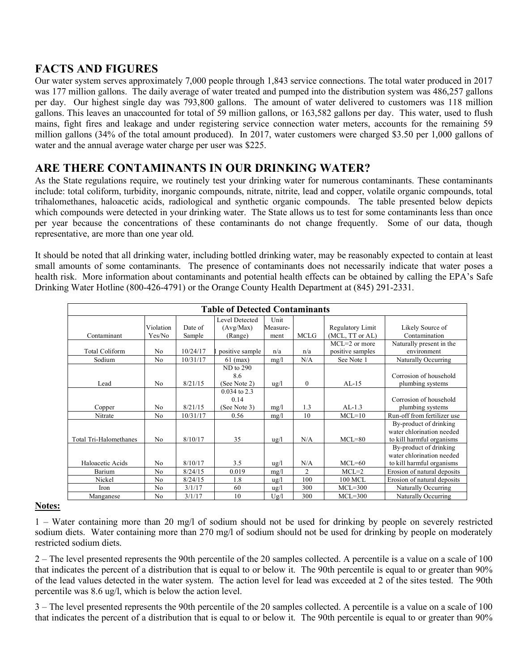# **FACTS AND FIGURES**

Our water system serves approximately 7,000 people through 1,843 service connections. The total water produced in 2017 was 177 million gallons. The daily average of water treated and pumped into the distribution system was 486,257 gallons per day. Our highest single day was 793,800 gallons. The amount of water delivered to customers was 118 million gallons. This leaves an unaccounted for total of 59 million gallons, or 163,582 gallons per day. This water, used to flush mains, fight fires and leakage and under registering service connection water meters, accounts for the remaining 59 million gallons (34% of the total amount produced). In 2017, water customers were charged \$3.50 per 1,000 gallons of water and the annual average water charge per user was \$225.

# **ARE THERE CONTAMINANTS IN OUR DRINKING WATER?**

As the State regulations require, we routinely test your drinking water for numerous contaminants. These contaminants include: total coliform, turbidity, inorganic compounds, nitrate, nitrite, lead and copper, volatile organic compounds, total trihalomethanes, haloacetic acids, radiological and synthetic organic compounds. The table presented below depicts which compounds were detected in your drinking water. The State allows us to test for some contaminants less than once per year because the concentrations of these contaminants do not change frequently. Some of our data, though representative, are more than one year old.

It should be noted that all drinking water, including bottled drinking water, may be reasonably expected to contain at least small amounts of some contaminants. The presence of contaminants does not necessarily indicate that water poses a health risk. More information about contaminants and potential health effects can be obtained by calling the EPA's Safe Drinking Water Hotline (800-426-4791) or the Orange County Health Department at (845) 291-2331.

| <b>Table of Detected Contaminants</b> |                |          |                 |                 |                |                   |                             |
|---------------------------------------|----------------|----------|-----------------|-----------------|----------------|-------------------|-----------------------------|
|                                       |                |          | Level Detected  | Unit            |                |                   |                             |
|                                       | Violation      | Date of  | (Avg/Max)       | Measure-        |                | Regulatory Limit  | Likely Source of            |
| Contaminant                           | Yes/No         | Sample   | (Range)         | ment            | <b>MCLG</b>    | (MCL, TT or AL)   | Contamination               |
|                                       |                |          |                 |                 |                | $MCL = 2$ or more | Naturally present in the    |
| <b>Total Coliform</b>                 | N <sub>0</sub> | 10/24/17 | positive sample | n/a             | n/a            | positive samples  | environment                 |
| Sodium                                | N <sub>0</sub> | 10/31/17 | $61$ (max)      | mg/l            | N/A            | See Note 1        | Naturally Occurring         |
|                                       |                |          | ND to 290       |                 |                |                   |                             |
|                                       |                |          | 8.6             |                 |                |                   | Corrosion of household      |
| Lead                                  | N <sub>0</sub> | 8/21/15  | (See Note 2)    | $\frac{u g}{l}$ | $\mathbf{0}$   | $AL-15$           | plumbing systems            |
|                                       |                |          | $0.034$ to 2.3  |                 |                |                   |                             |
|                                       |                |          | 0.14            |                 |                |                   | Corrosion of household      |
| Copper                                | N <sub>0</sub> | 8/21/15  | (See Note 3)    | mg/l            | 1.3            | $AL-1.3$          | plumbing systems            |
| Nitrate                               | N <sub>0</sub> | 10/31/17 | 0.56            | mg/l            | 10             | $MCL=10$          | Run-off from fertilizer use |
|                                       |                |          |                 |                 |                |                   | By-product of drinking      |
|                                       |                |          |                 |                 |                |                   | water chlorination needed   |
| Total Tri-Halomethanes                | N <sub>0</sub> | 8/10/17  | 35              | $\frac{u}{g}$   | N/A            | $MCL=80$          | to kill harmful organisms   |
|                                       |                |          |                 |                 |                |                   | By-product of drinking      |
|                                       |                |          |                 |                 |                |                   | water chlorination needed   |
| Haloacetic Acids                      | N <sub>0</sub> | 8/10/17  | 3.5             | $\frac{u}{g}$   | N/A            | $MCL=60$          | to kill harmful organisms   |
| Barium                                | No             | 8/24/15  | 0.019           | mg/l            | $\overline{c}$ | $MCL=2$           | Erosion of natural deposits |
| Nickel                                | No             | 8/24/15  | 1.8             | $\frac{u}{g}$   | 100            | 100 MCL           | Erosion of natural deposits |
| Iron                                  | N <sub>0</sub> | 3/1/17   | 60              | $\frac{u g}{l}$ | 300            | $MCL = 300$       | <b>Naturally Occurring</b>  |
| Manganese                             | No             | 3/1/17   | 10              | Ug/l            | 300            | $MCL = 300$       | Naturally Occurring         |

#### **Notes:**

1 – Water containing more than 20 mg/l of sodium should not be used for drinking by people on severely restricted sodium diets. Water containing more than 270 mg/l of sodium should not be used for drinking by people on moderately restricted sodium diets.

2 – The level presented represents the 90th percentile of the 20 samples collected. A percentile is a value on a scale of 100 that indicates the percent of a distribution that is equal to or below it. The 90th percentile is equal to or greater than 90% of the lead values detected in the water system. The action level for lead was exceeded at 2 of the sites tested. The 90th percentile was 8.6 ug/l, which is below the action level.

3 – The level presented represents the 90th percentile of the 20 samples collected. A percentile is a value on a scale of 100 that indicates the percent of a distribution that is equal to or below it. The 90th percentile is equal to or greater than 90%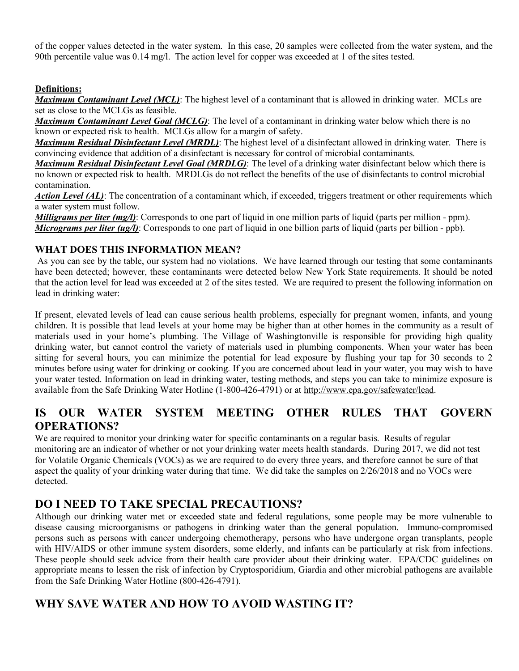of the copper values detected in the water system. In this case, 20 samples were collected from the water system, and the 90th percentile value was 0.14 mg/l. The action level for copper was exceeded at 1 of the sites tested.

#### **Definitions:**

*Maximum Contaminant Level (MCL)*: The highest level of a contaminant that is allowed in drinking water. MCLs are set as close to the MCLGs as feasible.

*Maximum Contaminant Level Goal (MCLG)*: The level of a contaminant in drinking water below which there is no known or expected risk to health. MCLGs allow for a margin of safety.

*Maximum Residual Disinfectant Level (MRDL)*: The highest level of a disinfectant allowed in drinking water. There is convincing evidence that addition of a disinfectant is necessary for control of microbial contaminants.

*Maximum Residual Disinfectant Level Goal (MRDLG)*: The level of a drinking water disinfectant below which there is no known or expected risk to health. MRDLGs do not reflect the benefits of the use of disinfectants to control microbial contamination.

*Action Level (AL)*: The concentration of a contaminant which, if exceeded, triggers treatment or other requirements which a water system must follow.

*Milligrams per liter (mg/l)*: Corresponds to one part of liquid in one million parts of liquid (parts per million - ppm). *Micrograms per liter (ug/l)*: Corresponds to one part of liquid in one billion parts of liquid (parts per billion - ppb).

#### **WHAT DOES THIS INFORMATION MEAN?**

As you can see by the table, our system had no violations. We have learned through our testing that some contaminants have been detected; however, these contaminants were detected below New York State requirements. It should be noted that the action level for lead was exceeded at 2 of the sites tested. We are required to present the following information on lead in drinking water:

If present, elevated levels of lead can cause serious health problems, especially for pregnant women, infants, and young children. It is possible that lead levels at your home may be higher than at other homes in the community as a result of materials used in your home's plumbing. The Village of Washingtonville is responsible for providing high quality drinking water, but cannot control the variety of materials used in plumbing components. When your water has been sitting for several hours, you can minimize the potential for lead exposure by flushing your tap for 30 seconds to 2 minutes before using water for drinking or cooking. If you are concerned about lead in your water, you may wish to have your water tested. Information on lead in drinking water, testing methods, and steps you can take to minimize exposure is available from the Safe Drinking Water Hotline (1-800-426-4791) or at http://www.epa.gov/safewater/lead.

# **IS OUR WATER SYSTEM MEETING OTHER RULES THAT GOVERN OPERATIONS?**

We are required to monitor your drinking water for specific contaminants on a regular basis. Results of regular monitoring are an indicator of whether or not your drinking water meets health standards. During 2017, we did not test for Volatile Organic Chemicals (VOCs) as we are required to do every three years, and therefore cannot be sure of that aspect the quality of your drinking water during that time. We did take the samples on 2/26/2018 and no VOCs were detected.

# **DO I NEED TO TAKE SPECIAL PRECAUTIONS?**

Although our drinking water met or exceeded state and federal regulations, some people may be more vulnerable to disease causing microorganisms or pathogens in drinking water than the general population. Immuno-compromised persons such as persons with cancer undergoing chemotherapy, persons who have undergone organ transplants, people with HIV/AIDS or other immune system disorders, some elderly, and infants can be particularly at risk from infections. These people should seek advice from their health care provider about their drinking water. EPA/CDC guidelines on appropriate means to lessen the risk of infection by Cryptosporidium, Giardia and other microbial pathogens are available from the Safe Drinking Water Hotline (800-426-4791).

### **WHY SAVE WATER AND HOW TO AVOID WASTING IT?**